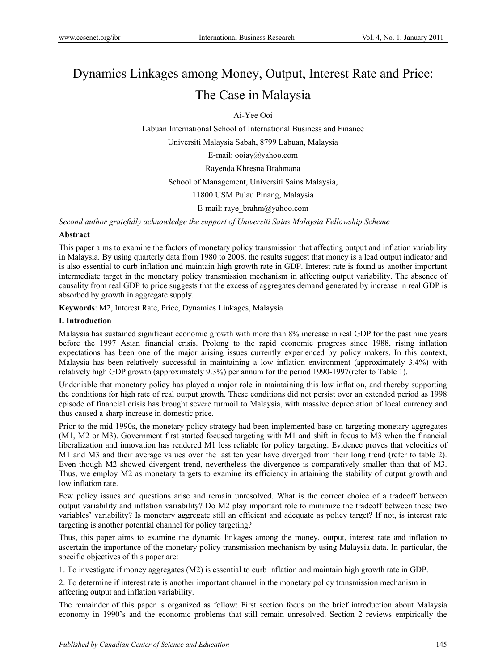# Dynamics Linkages among Money, Output, Interest Rate and Price: The Case in Malaysia

Ai-Yee Ooi

Labuan International School of International Business and Finance Universiti Malaysia Sabah, 8799 Labuan, Malaysia E-mail: ooiay@yahoo.com Rayenda Khresna Brahmana School of Management, Universiti Sains Malaysia, 11800 USM Pulau Pinang, Malaysia E-mail: raye\_brahm@yahoo.com

*Second author gratefully acknowledge the support of Universiti Sains Malaysia Fellowship Scheme* 

### **Abstract**

This paper aims to examine the factors of monetary policy transmission that affecting output and inflation variability in Malaysia. By using quarterly data from 1980 to 2008, the results suggest that money is a lead output indicator and is also essential to curb inflation and maintain high growth rate in GDP. Interest rate is found as another important intermediate target in the monetary policy transmission mechanism in affecting output variability. The absence of causality from real GDP to price suggests that the excess of aggregates demand generated by increase in real GDP is absorbed by growth in aggregate supply.

**Keywords**: M2, Interest Rate, Price, Dynamics Linkages, Malaysia

#### **I. Introduction**

Malaysia has sustained significant economic growth with more than 8% increase in real GDP for the past nine years before the 1997 Asian financial crisis. Prolong to the rapid economic progress since 1988, rising inflation expectations has been one of the major arising issues currently experienced by policy makers. In this context, Malaysia has been relatively successful in maintaining a low inflation environment (approximately 3.4%) with relatively high GDP growth (approximately 9.3%) per annum for the period 1990-1997(refer to Table 1).

Undeniable that monetary policy has played a major role in maintaining this low inflation, and thereby supporting the conditions for high rate of real output growth. These conditions did not persist over an extended period as 1998 episode of financial crisis has brought severe turmoil to Malaysia, with massive depreciation of local currency and thus caused a sharp increase in domestic price.

Prior to the mid-1990s, the monetary policy strategy had been implemented base on targeting monetary aggregates (M1, M2 or M3). Government first started focused targeting with M1 and shift in focus to M3 when the financial liberalization and innovation has rendered M1 less reliable for policy targeting. Evidence proves that velocities of M1 and M3 and their average values over the last ten year have diverged from their long trend (refer to table 2). Even though M2 showed divergent trend, nevertheless the divergence is comparatively smaller than that of M3. Thus, we employ M2 as monetary targets to examine its efficiency in attaining the stability of output growth and low inflation rate.

Few policy issues and questions arise and remain unresolved. What is the correct choice of a tradeoff between output variability and inflation variability? Do M2 play important role to minimize the tradeoff between these two variables' variability? Is monetary aggregate still an efficient and adequate as policy target? If not, is interest rate targeting is another potential channel for policy targeting?

Thus, this paper aims to examine the dynamic linkages among the money, output, interest rate and inflation to ascertain the importance of the monetary policy transmission mechanism by using Malaysia data. In particular, the specific objectives of this paper are:

1. To investigate if money aggregates (M2) is essential to curb inflation and maintain high growth rate in GDP.

2. To determine if interest rate is another important channel in the monetary policy transmission mechanism in affecting output and inflation variability.

The remainder of this paper is organized as follow: First section focus on the brief introduction about Malaysia economy in 1990's and the economic problems that still remain unresolved. Section 2 reviews empirically the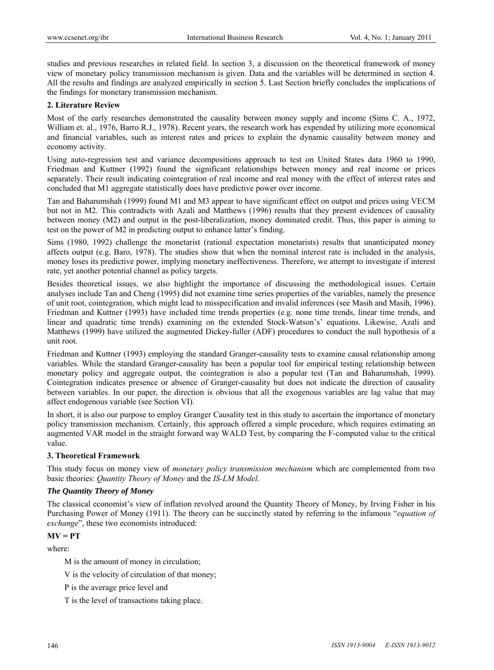studies and previous researches in related field. In section 3, a discussion on the theoretical framework of money view of monetary policy transmission mechanism is given. Data and the variables will be determined in section 4. All the results and findings are analyzed empirically in section 5. Last Section briefly concludes the implications of the findings for monetary transmission mechanism.

# **2. Literature Review**

Most of the early researches demonstrated the causality between money supply and income (Sims C. A., 1972, William et. al., 1976, Barro R.J., 1978). Recent years, the research work has expended by utilizing more economical and financial variables, such as interest rates and prices to explain the dynamic causality between money and economy activity.

Using auto-regression test and variance decompositions approach to test on United States data 1960 to 1990, Friedman and Kuttner (1992) found the significant relationships between money and real income or prices separately. Their result indicating cointegration of real income and real money with the effect of interest rates and concluded that M1 aggregate statistically does have predictive power over income.

Tan and Baharumshah (1999) found M1 and M3 appear to have significant effect on output and prices using VECM but not in M2. This contradicts with Azali and Matthews (1996) results that they present evidences of causality between money (M2) and output in the post-liberalization, money dominated credit. Thus, this paper is aiming to test on the power of M2 in predicting output to enhance latter's finding.

Sims (1980, 1992) challenge the monetarist (rational expectation monetarists) results that unanticipated money affects output (e.g. Baro, 1978). The studies show that when the nominal interest rate is included in the analysis, money loses its predictive power, implying monetary ineffectiveness. Therefore, we attempt to investigate if interest rate, yet another potential channel as policy targets.

Besides theoretical issues, we also highlight the importance of discussing the methodological issues. Certain analyses include Tan and Cheng (1995) did not examine time series properties of the variables, namely the presence of unit root, cointegration, which might lead to misspecification and invalid inferences (see Masih and Masih, 1996). Friedman and Kuttner (1993) have included time trends properties (e.g. none time trends, linear time trends, and linear and quadratic time trends) examining on the extended Stock-Watson's' equations. Likewise, Azali and Matthews (1999) have utilized the augmented Dickey-fuller (ADF) procedures to conduct the null hypothesis of a unit root.

Friedman and Kuttner (1993) employing the standard Granger-causality tests to examine causal relationship among variables. While the standard Granger-causality has been a popular tool for empirical testing relationship between monetary policy and aggregate output, the cointegration is also a popular test (Tan and Baharumshah, 1999). Cointegration indicates presence or absence of Granger-causality but does not indicate the direction of causality between variables. In our paper, the direction is obvious that all the exogenous variables are lag value that may affect endogenous variable (see Section VI).

In short, it is also our purpose to employ Granger Causality test in this study to ascertain the importance of monetary policy transmission mechanism. Certainly, this approach offered a simple procedure, which requires estimating an augmented VAR model in the straight forward way WALD Test, by comparing the F-computed value to the critical value.

### **3. Theoretical Framework**

This study focus on money view of *monetary policy transmission mechanism* which are complemented from two basic theories: *Quantity Theory of Money* and the *IS-LM Model*.

### *The Quantity Theory of Money*

The classical economist's view of inflation revolved around the Quantity Theory of Money, by Irving Fisher in his Purchasing Power of Money (1911). The theory can be succinctly stated by referring to the infamous "*equation of exchange*", these two economists introduced:

# **MV = PT**

where:

M is the amount of money in circulation;

V is the velocity of circulation of that money;

P is the average price level and

T is the level of transactions taking place.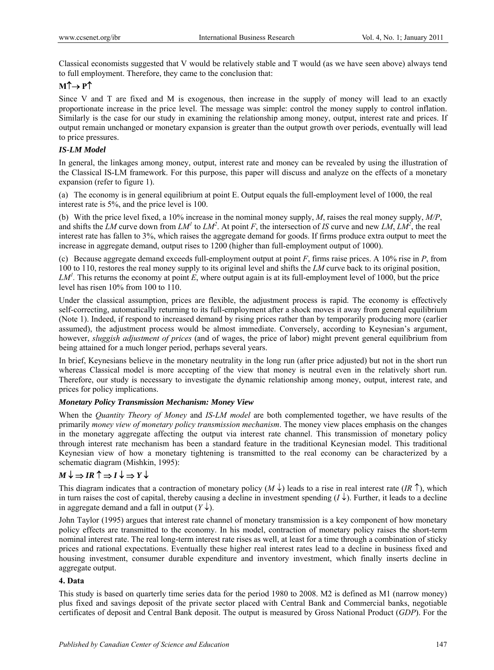Classical economists suggested that V would be relatively stable and T would (as we have seen above) always tend to full employment. Therefore, they came to the conclusion that:

# $M^{\uparrow} \rightarrow P^{\uparrow}$

Since V and T are fixed and M is exogenous, then increase in the supply of money will lead to an exactly proportionate increase in the price level. The message was simple: control the money supply to control inflation. Similarly is the case for our study in examining the relationship among money, output, interest rate and prices. If output remain unchanged or monetary expansion is greater than the output growth over periods, eventually will lead to price pressures.

# *IS-LM Model*

In general, the linkages among money, output, interest rate and money can be revealed by using the illustration of the Classical IS-LM framework. For this purpose, this paper will discuss and analyze on the effects of a monetary expansion (refer to figure 1).

(a) The economy is in general equilibrium at point E. Output equals the full-employment level of 1000, the real interest rate is 5%, and the price level is 100.

(b) With the price level fixed, a 10% increase in the nominal money supply, *M*, raises the real money supply, *M/P*, and shifts the *LM* curve down from  $LM^1$  to  $LM^2$ . At point *F*, the intersection of *IS* curve and new *LM*,  $LM^2$ , the real interest rate has fallen to 3%, which raises the aggregate demand for goods. If firms produce extra output to meet the increase in aggregate demand, output rises to 1200 (higher than full-employment output of 1000).

(c) Because aggregate demand exceeds full-employment output at point *F*, firms raise prices. A 10% rise in *P*, from 100 to 110, restores the real money supply to its original level and shifts the *LM* curve back to its original position,  $LM<sup>1</sup>$ . This returns the economy at point *E*, where output again is at its full-employment level of 1000, but the price level has risen 10% from 100 to 110.

Under the classical assumption, prices are flexible, the adjustment process is rapid. The economy is effectively self-correcting, automatically returning to its full-employment after a shock moves it away from general equilibrium (Note 1). Indeed, if respond to increased demand by rising prices rather than by temporarily producing more (earlier assumed), the adjustment process would be almost immediate. Conversely, according to Keynesian's argument, however, *sluggish adjustment of prices* (and of wages, the price of labor) might prevent general equilibrium from being attained for a much longer period, perhaps several years.

In brief, Keynesians believe in the monetary neutrality in the long run (after price adjusted) but not in the short run whereas Classical model is more accepting of the view that money is neutral even in the relatively short run. Therefore, our study is necessary to investigate the dynamic relationship among money, output, interest rate, and prices for policy implications.

# *Monetary Policy Transmission Mechanism: Money View*

When the *Quantity Theory of Money* and *IS-LM model* are both complemented together, we have results of the primarily *money view of monetary policy transmission mechanism*. The money view places emphasis on the changes in the monetary aggregate affecting the output via interest rate channel. This transmission of monetary policy through interest rate mechanism has been a standard feature in the traditional Keynesian model. This traditional Keynesian view of how a monetary tightening is transmitted to the real economy can be characterized by a schematic diagram (Mishkin, 1995):

# $M \downarrow \Rightarrow IR \uparrow \Rightarrow I \downarrow \Rightarrow Y \downarrow$

This diagram indicates that a contraction of monetary policy  $(M \downarrow)$  leads to a rise in real interest rate  $(R \uparrow)$ , which in turn raises the cost of capital, thereby causing a decline in investment spending  $(I \downarrow)$ . Further, it leads to a decline in aggregate demand and a fall in output  $(Y \downarrow)$ .

John Taylor (1995) argues that interest rate channel of monetary transmission is a key component of how monetary policy effects are transmitted to the economy. In his model, contraction of monetary policy raises the short-term nominal interest rate. The real long-term interest rate rises as well, at least for a time through a combination of sticky prices and rational expectations. Eventually these higher real interest rates lead to a decline in business fixed and housing investment, consumer durable expenditure and inventory investment, which finally inserts decline in aggregate output.

# **4. Data**

This study is based on quarterly time series data for the period 1980 to 2008. M2 is defined as M1 (narrow money) plus fixed and savings deposit of the private sector placed with Central Bank and Commercial banks, negotiable certificates of deposit and Central Bank deposit. The output is measured by Gross National Product (*GDP*). For the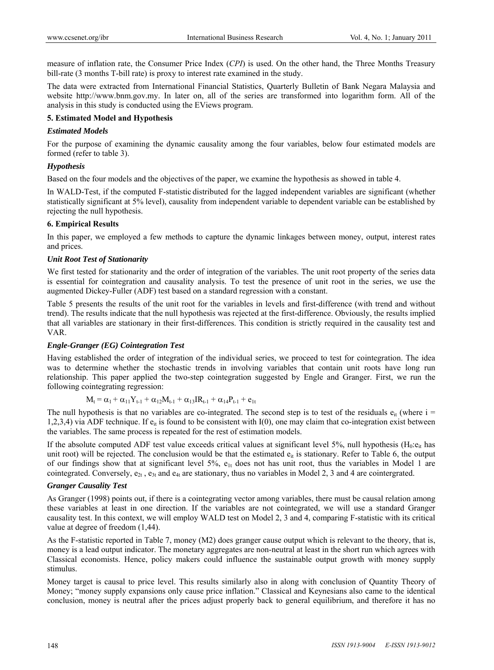measure of inflation rate, the Consumer Price Index (*CPI*) is used. On the other hand, the Three Months Treasury bill-rate (3 months T-bill rate) is proxy to interest rate examined in the study.

The data were extracted from International Financial Statistics, Quarterly Bulletin of Bank Negara Malaysia and website http://www.bnm.gov.my. In later on, all of the series are transformed into logarithm form. All of the analysis in this study is conducted using the EViews program.

# **5. Estimated Model and Hypothesis**

### *Estimated Models*

For the purpose of examining the dynamic causality among the four variables, below four estimated models are formed (refer to table 3).

# *Hypothesis*

Based on the four models and the objectives of the paper, we examine the hypothesis as showed in table 4.

In WALD-Test, if the computed F-statistic distributed for the lagged independent variables are significant (whether statistically significant at 5% level), causality from independent variable to dependent variable can be established by rejecting the null hypothesis.

# **6. Empirical Results**

In this paper, we employed a few methods to capture the dynamic linkages between money, output, interest rates and prices.

# *Unit Root Test of Stationarity*

We first tested for stationarity and the order of integration of the variables. The unit root property of the series data is essential for cointegration and causality analysis. To test the presence of unit root in the series, we use the augmented Dickey-Fuller (ADF) test based on a standard regression with a constant.

Table 5 presents the results of the unit root for the variables in levels and first-difference (with trend and without trend). The results indicate that the null hypothesis was rejected at the first-difference. Obviously, the results implied that all variables are stationary in their first-differences. This condition is strictly required in the causality test and VAR.

# *Engle-Granger (EG) Cointegration Test*

Having established the order of integration of the individual series, we proceed to test for cointegration. The idea was to determine whether the stochastic trends in involving variables that contain unit roots have long run relationship. This paper applied the two-step cointegration suggested by Engle and Granger. First, we run the following cointegrating regression:

$$
M_t = \alpha_1 + \alpha_{11}Y_{t-1} + \alpha_{12}M_{t-1} + \alpha_{13}IR_{t-1} + \alpha_{14}P_{t-1} + e_{1t}
$$

The null hypothesis is that no variables are co-integrated. The second step is to test of the residuals  $e_{it}$  (where  $i =$ 1,2,3,4) via ADF technique. If  $e_{it}$  is found to be consistent with I(0), one may claim that co-integration exist between the variables. The same process is repeated for the rest of estimation models.

If the absolute computed ADF test value exceeds critical values at significant level 5%, null hypothesis ( $H_0:$ e<sub>it</sub> has unit root) will be rejected. The conclusion would be that the estimated  $e_{it}$  is stationary. Refer to Table 6, the output of our findings show that at significant level  $5\%$ ,  $e_{1t}$  does not has unit root, thus the variables in Model 1 are cointegrated. Conversely,  $e_{2t}$ ,  $e_{3t}$  and  $e_{4t}$  are stationary, thus no variables in Model 2, 3 and 4 are cointergrated.

### *Granger Causality Test*

As Granger (1998) points out, if there is a cointegrating vector among variables, there must be causal relation among these variables at least in one direction. If the variables are not cointegrated, we will use a standard Granger causality test. In this context, we will employ WALD test on Model 2, 3 and 4, comparing F-statistic with its critical value at degree of freedom (1,44).

As the F-statistic reported in Table 7, money (M2) does granger cause output which is relevant to the theory, that is, money is a lead output indicator. The monetary aggregates are non-neutral at least in the short run which agrees with Classical economists. Hence, policy makers could influence the sustainable output growth with money supply stimulus.

Money target is causal to price level. This results similarly also in along with conclusion of Quantity Theory of Money; "money supply expansions only cause price inflation." Classical and Keynesians also came to the identical conclusion, money is neutral after the prices adjust properly back to general equilibrium, and therefore it has no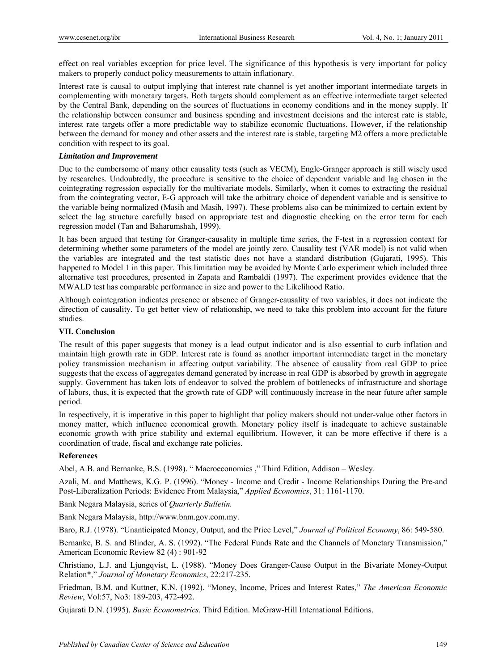effect on real variables exception for price level. The significance of this hypothesis is very important for policy makers to properly conduct policy measurements to attain inflationary.

Interest rate is causal to output implying that interest rate channel is yet another important intermediate targets in complementing with monetary targets. Both targets should complement as an effective intermediate target selected by the Central Bank, depending on the sources of fluctuations in economy conditions and in the money supply. If the relationship between consumer and business spending and investment decisions and the interest rate is stable, interest rate targets offer a more predictable way to stabilize economic fluctuations. However, if the relationship between the demand for money and other assets and the interest rate is stable, targeting M2 offers a more predictable condition with respect to its goal.

#### *Limitation and Improvement*

Due to the cumbersome of many other causality tests (such as VECM), Engle-Granger approach is still wisely used by researches. Undoubtedly, the procedure is sensitive to the choice of dependent variable and lag chosen in the cointegrating regression especially for the multivariate models. Similarly, when it comes to extracting the residual from the cointegrating vector, E-G approach will take the arbitrary choice of dependent variable and is sensitive to the variable being normalized (Masih and Masih, 1997). These problems also can be minimized to certain extent by select the lag structure carefully based on appropriate test and diagnostic checking on the error term for each regression model (Tan and Baharumshah, 1999).

It has been argued that testing for Granger-causality in multiple time series, the F-test in a regression context for determining whether some parameters of the model are jointly zero. Causality test (VAR model) is not valid when the variables are integrated and the test statistic does not have a standard distribution (Gujarati, 1995). This happened to Model 1 in this paper. This limitation may be avoided by Monte Carlo experiment which included three alternative test procedures, presented in Zapata and Rambaldi (1997). The experiment provides evidence that the MWALD test has comparable performance in size and power to the Likelihood Ratio.

Although cointegration indicates presence or absence of Granger-causality of two variables, it does not indicate the direction of causality. To get better view of relationship, we need to take this problem into account for the future studies.

#### **VII. Conclusion**

The result of this paper suggests that money is a lead output indicator and is also essential to curb inflation and maintain high growth rate in GDP. Interest rate is found as another important intermediate target in the monetary policy transmission mechanism in affecting output variability. The absence of causality from real GDP to price suggests that the excess of aggregates demand generated by increase in real GDP is absorbed by growth in aggregate supply. Government has taken lots of endeavor to solved the problem of bottlenecks of infrastructure and shortage of labors, thus, it is expected that the growth rate of GDP will continuously increase in the near future after sample period.

In respectively, it is imperative in this paper to highlight that policy makers should not under-value other factors in money matter, which influence economical growth. Monetary policy itself is inadequate to achieve sustainable economic growth with price stability and external equilibrium. However, it can be more effective if there is a coordination of trade, fiscal and exchange rate policies.

### **References**

Abel, A.B. and Bernanke, B.S. (1998). " Macroeconomics ," Third Edition, Addison – Wesley.

Azali, M. and Matthews, K.G. P. (1996). "Money - Income and Credit - Income Relationships During the Pre-and Post-Liberalization Periods: Evidence From Malaysia," *Applied Economics*, 31: 1161-1170.

Bank Negara Malaysia, series of *Quarterly Bulletin.*

Bank Negara Malaysia, http://www.bnm.gov.com.my.

Baro, R.J. (1978). "Unanticipated Money, Output, and the Price Level," *Journal of Political Economy*, 86: 549-580.

Bernanke, B. S. and Blinder, A. S. (1992). "The Federal Funds Rate and the Channels of Monetary Transmission," American Economic Review 82 (4) : 901-92

Christiano, L.J. and Ljungqvist, L. (1988). "Money Does Granger-Cause Output in the Bivariate Money-Output Relation\*," *Journal of Monetary Economics*, 22:217-235.

Friedman, B.M. and Kuttner, K.N. (1992). "Money, Income, Prices and Interest Rates," *The American Economic Review*, Vol:57, No3: 189-203, 472-492.

Gujarati D.N. (1995). *Basic Econometrics*. Third Edition. McGraw-Hill International Editions.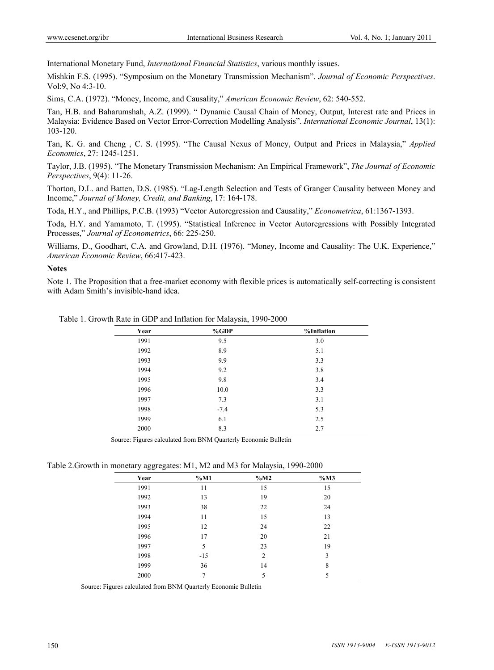International Monetary Fund, *International Financial Statistics*, various monthly issues.

Mishkin F.S. (1995). "Symposium on the Monetary Transmission Mechanism". *Journal of Economic Perspectives*. Vol:9, No 4:3-10.

Sims, C.A. (1972). "Money, Income, and Causality," *American Economic Review*, 62: 540-552.

Tan, H.B. and Baharumshah, A.Z. (1999). " Dynamic Causal Chain of Money, Output, Interest rate and Prices in Malaysia: Evidence Based on Vector Error-Correction Modelling Analysis". *International Economic Journal*, 13(1): 103-120.

Tan, K. G. and Cheng , C. S. (1995). "The Causal Nexus of Money, Output and Prices in Malaysia," *Applied Economics*, 27: 1245-1251.

Taylor, J.B. (1995). "The Monetary Transmission Mechanism: An Empirical Framework", *The Journal of Economic Perspectives*, 9(4): 11-26.

Thorton, D.L. and Batten, D.S. (1985). "Lag-Length Selection and Tests of Granger Causality between Money and Income," *Journal of Money, Credit, and Banking*, 17: 164-178.

Toda, H.Y., and Phillips, P.C.B. (1993) "Vector Autoregression and Causality," *Econometrica*, 61:1367-1393.

Toda, H.Y. and Yamamoto, T. (1995). "Statistical Inference in Vector Autoregressions with Possibly Integrated Processes," *Journal of Econometrics*, 66: 225-250.

Williams, D., Goodhart, C.A. and Growland, D.H. (1976). "Money, Income and Causality: The U.K. Experience," *American Economic Review*, 66:417-423.

#### **Notes**

Note 1. The Proposition that a free-market economy with flexible prices is automatically self-correcting is consistent with Adam Smith's invisible-hand idea.

| Year | %GDP   | %Inflation |
|------|--------|------------|
| 1991 | 9.5    | 3.0        |
| 1992 | 8.9    | 5.1        |
| 1993 | 9.9    | 3.3        |
| 1994 | 9.2    | 3.8        |
| 1995 | 9.8    | 3.4        |
| 1996 | 10.0   | 3.3        |
| 1997 | 7.3    | 3.1        |
| 1998 | $-7.4$ | 5.3        |
| 1999 | 6.1    | 2.5        |
| 2000 | 8.3    | 2.7        |

Table 1. Growth Rate in GDP and Inflation for Malaysia, 1990-2000

Source: Figures calculated from BNM Quarterly Economic Bulletin

Table 2.Growth in monetary aggregates: M1, M2 and M3 for Malaysia, 1990-2000

| Year | %M1   | %M2            | %M3 |
|------|-------|----------------|-----|
| 1991 | 11    | 15             | 15  |
| 1992 | 13    | 19             | 20  |
| 1993 | 38    | 22             | 24  |
| 1994 | 11    | 15             | 13  |
| 1995 | 12    | 24             | 22  |
| 1996 | 17    | 20             | 21  |
| 1997 | 5     | 23             | 19  |
| 1998 | $-15$ | $\overline{2}$ | 3   |
| 1999 | 36    | 14             | 8   |
| 2000 | 7     | 5              | 5   |

Source: Figures calculated from BNM Quarterly Economic Bulletin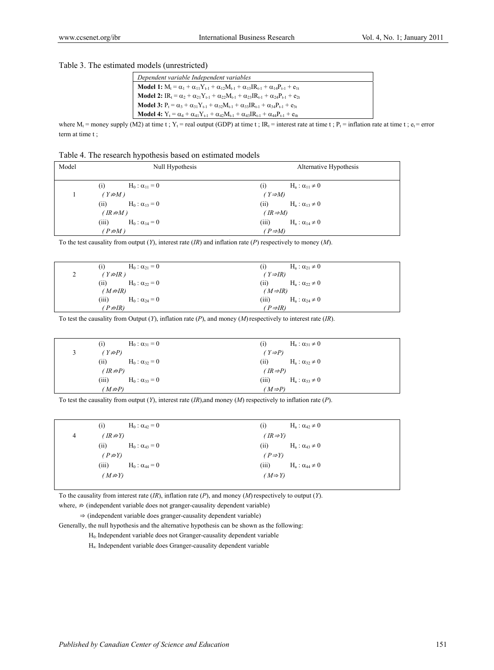Table 3. The estimated models (unrestricted)

| Dependent variable Independent variables                                                                                        |
|---------------------------------------------------------------------------------------------------------------------------------|
| <b>Model 1:</b> $M_t = \alpha_1 + \alpha_{11}Y_{t-1} + \alpha_{12}M_{t-1} + \alpha_{13}IR_{t-1} + \alpha_{14}P_{t-1} + e_{1t}$  |
| <b>Model 2:</b> $IR_t = \alpha_2 + \alpha_{21}Y_{t-1} + \alpha_{22}M_{t-1} + \alpha_{23}IR_{t-1} + \alpha_{24}P_{t-1} + e_{2t}$ |
| <b>Model 3:</b> $P_1 = \alpha_3 + \alpha_{31}Y_{1-1} + \alpha_{32}M_{1-1} + \alpha_{33}IR_{1-1} + \alpha_{34}P_{1-1} + e_{31}$  |
| <b>Model 4:</b> $Y_1 = \alpha_4 + \alpha_{41}Y_{1-1} + \alpha_{42}M_{1-1} + \alpha_{43}IR_{1-1} + \alpha_{44}P_{1-1} + e_{41}$  |

where  $M_t$  = money supply (M2) at time t;  $Y_t$  = real output (GDP) at time t;  $R_t$  = interest rate at time t;  $P_t$  = inflation rate at time t;  $e_t$  = error term at time t ;

| Table 4. The research hypothesis based on estimated models |  |  |
|------------------------------------------------------------|--|--|
|                                                            |  |  |

| Model | Null Hypothesis                    | Alternative Hypothesis                        |
|-------|------------------------------------|-----------------------------------------------|
|       | $H_0: \alpha_{11} = 0$<br>(i)      | $H_a: \alpha_{11} \neq 0$<br>$\left(1\right)$ |
|       | $(Y \neq M)$                       | $(Y \Rightarrow M)$                           |
|       | $H_0: \alpha_{13} = 0$<br>(ii)     | $H_a: \alpha_{13} \neq 0$<br>(ii)             |
|       | $(IR \neq M)$                      | $(IR \Rightarrow M)$                          |
|       | (iii)<br>$H_0$ : $\alpha_{14} = 0$ | $H_a: \alpha_{14} \neq 0$<br>(iii)            |
|       | $(P \neq M)$                       | $(P \Rightarrow M)$                           |

To the test causality from output (*Y*), interest rate (*IR*) and inflation rate (*P*) respectively to money (*M*).

| $H_0: \alpha_{21} = 0$<br>(1)   | $H_a: \alpha_{21} \neq 0$<br>$\left(1\right)$ |
|---------------------------------|-----------------------------------------------|
| $(Y \neq I\!R)$                 | $(Y\Rightarrow IR)$                           |
| $H_0: \alpha_{22} = 0$<br>(i)   | (ii) $H_a: \alpha_{22} \neq 0$                |
| $(M \neq IR)$                   | $(M\Rightarrow IR)$                           |
| $H_0: \alpha_{24} = 0$<br>(iii) | $H_a: \alpha_{24} \neq 0$<br>(iii)            |
| $(P \neq IR)$                   | $(P\Rightarrow IR)$                           |

To test the causality from Output (*Y*), inflation rate (*P*), and money (*M*)respectively to interest rate (*IR*).

| (1)           | $H_0: \alpha_{31} = 0$       | (1)                  | $H_a: \alpha_{31} \neq 0$      |
|---------------|------------------------------|----------------------|--------------------------------|
| $(Y \neq P)$  |                              | $(Y \Rightarrow P)$  |                                |
| (ii)          | $H_0: \alpha_{32} = 0$       |                      | (ii) $H_a: \alpha_{32} \neq 0$ |
| $(IR \neq P)$ |                              | $(IR \Rightarrow P)$ |                                |
|               | (iii) $H_0: \alpha_{33} = 0$ | (iii)                | $H_a: \alpha_{33} \neq 0$      |
| $(M \neq P)$  |                              | $(M \Rightarrow P)$  |                                |
|               |                              |                      |                                |

To test the causality from output (*Y*), interest rate (*IR*),and money (*M*) respectively to inflation rate (*P*).

|   | (i)           | $H_0: \alpha_{42} = 0$ | (1)                  | $H_a: \alpha_{42} \neq 0$       |
|---|---------------|------------------------|----------------------|---------------------------------|
| 4 | $(IR \neq Y)$ |                        | $(IR \Rightarrow Y)$ |                                 |
|   | (i)           | $H_0: \alpha_{43} = 0$ |                      | (ii) $H_a: \alpha_{43} \neq 0$  |
|   | $(P \neq Y)$  |                        | $(P \Rightarrow Y)$  |                                 |
|   | (iii)         | $H_0: \alpha_{44} = 0$ |                      | (iii) $H_a: \alpha_{44} \neq 0$ |
|   | $(M \neq Y)$  |                        | $(M \Rightarrow Y)$  |                                 |
|   |               |                        |                      |                                 |

To the causality from interest rate (*IR*), inflation rate (*P*), and money (*M*)respectively to output (*Y*).

where,  $\Rightarrow$  (independent variable does not granger-causality dependent variable)

⇒ (independent variable does granger-causality dependent variable)

Generally, the null hypothesis and the alternative hypothesis can be shown as the following:

H0: Independent variable does not Granger-causality dependent variable

Ha: Independent variable does Granger-causality dependent variable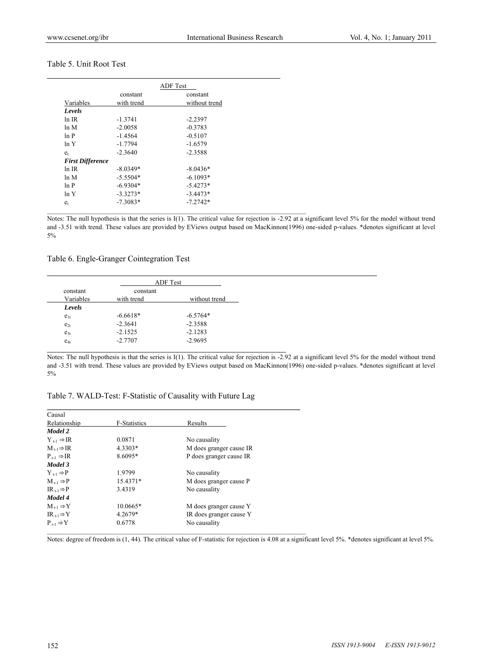$\overline{a}$ 

# Table 5. Unit Root Test

|                         | constant   | constant      |  |
|-------------------------|------------|---------------|--|
|                         |            |               |  |
| Variables               | with trend | without trend |  |
| Levels                  |            |               |  |
| ln IR                   | $-1.3741$  | $-2.2397$     |  |
| ln M                    | $-2.0058$  | $-0.3783$     |  |
| ln P                    | $-1.4564$  | $-0.5107$     |  |
| ln Y                    | $-1.7794$  | $-1.6579$     |  |
| e <sub>t</sub>          | $-2.3640$  | $-2.3588$     |  |
| <b>First Difference</b> |            |               |  |
| ln IR                   | $-8.0349*$ | $-8.0436*$    |  |
| ln M                    | $-5.5504*$ | $-6.1093*$    |  |
| ln P                    | $-6.9304*$ | $-5.4273*$    |  |
| ln Y                    | $-3.3273*$ | $-3.4473*$    |  |
| e <sub>t</sub>          | $-7.3083*$ | $-7.2742*$    |  |

Notes: The null hypothesis is that the series is I(1). The critical value for rejection is -2.92 at a significant level 5% for the model without trend and -3.51 with trend. These values are provided by EViews output based on MacKinnon(1996) one-sided p-values. \*denotes significant at level 5%

# Table 6. Engle-Granger Cointegration Test

|           | ADF Test   |               |
|-----------|------------|---------------|
| constant  | constant   |               |
| Variables | with trend | without trend |
| Levels    |            |               |
| $e_{1t}$  | $-6.6618*$ | $-6.5764*$    |
| $e_{2t}$  | $-2.3641$  | $-2.3588$     |
| $e_{3t}$  | $-2.1525$  | $-2.1283$     |
| $e_{4t}$  | $-2.7707$  | $-2.9695$     |

Notes: The null hypothesis is that the series is I(1). The critical value for rejection is -2.92 at a significant level 5% for the model without trend and -3.51 with trend. These values are provided by EViews output based on MacKinnon(1996) one-sided p-values. \*denotes significant at level 5%

# Table 7. WALD-Test: F-Statistic of Causality with Future Lag

**\_\_\_\_\_\_\_\_\_\_\_\_\_\_\_\_\_\_\_\_\_\_\_\_\_\_\_\_\_\_\_\_\_\_\_\_\_\_\_\_\_\_\_\_\_\_\_\_\_\_\_\_\_\_\_\_\_\_\_\_\_**

| Causal                   |                     |                         |
|--------------------------|---------------------|-------------------------|
| Relationship             | <b>F-Statistics</b> | Results                 |
| Model 2                  |                     |                         |
| $Y_{t-1} \Rightarrow IR$ | 0.0871              | No causality            |
| $M_{t-1} \Rightarrow IR$ | $4.3303*$           | M does granger cause IR |
| $P_{t-1} \Rightarrow IR$ | 8.6095*             | P does granger cause IR |
| Model 3                  |                     |                         |
| $Y_{t-1} \Rightarrow P$  | 1.9799              | No causality            |
| $M_{t-1} \Rightarrow P$  | 15.4371*            | M does granger cause P  |
| $IR_{t-1} \Rightarrow P$ | 3.4319              | No causality            |
| Model 4                  |                     |                         |
| $M_{t-1} \Rightarrow Y$  | $10.0665*$          | M does granger cause Y  |
| $IR_{t-1} \Rightarrow Y$ | $4.2679*$           | IR does granger cause Y |
| $P_{t-1} \Rightarrow Y$  | 0.6778              | No causality            |
|                          |                     |                         |

Notes: degree of freedom is (1, 44). The critical value of F-statistic for rejection is 4.08 at a significant level 5%. \*denotes significant at level 5%.